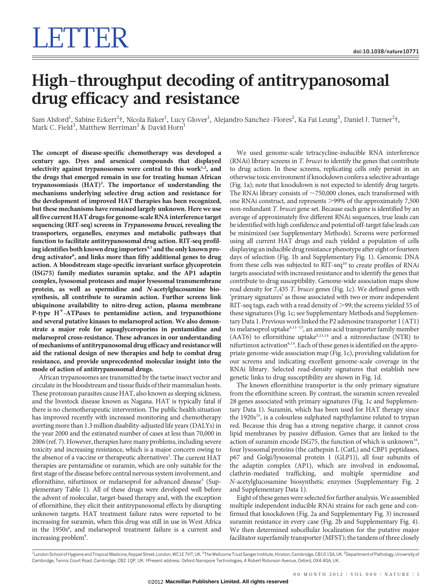# LETTER

# High-throughput decoding of antitrypanosomal drug efficacy and resistance

Sam Alsford<sup>1</sup>, Sabine Eckert<sup>2</sup>†, Nicola Baker<sup>1</sup>, Lucy Glover<sup>1</sup>, Alejandro Sanchez-Flores<sup>2</sup>, Ka Fai Leung<sup>3</sup>, Daniel J. Turner<sup>2</sup>†, Mark C. Field $^3$ , Matthew Berriman $^2$  & David Horn $^{\rm l}$ 

The concept of disease-specific chemotherapy was developed a century ago. Dyes and arsenical compounds that displayed selectivity against trypanosomes were central to this work<sup>1,2</sup>, and the drugs that emerged remain in use for treating human African trypanosomiasis (HAT)<sup>3</sup>. The importance of understanding the mechanisms underlying selective drug action and resistance for the development of improved HAT therapies has been recognized, but these mechanisms have remained largely unknown. Here we use all five current HAT drugs for genome-scale RNA interference target sequencing (RIT-seq) screens in Trypanosoma brucei, revealing the transporters, organelles, enzymes and metabolic pathways that function to facilitate antitrypanosomal drug action. RIT-seq profiling identifies both known drug importers<sup>4,5</sup> and the only known prodrug activator<sup>6</sup>, and links more than fifty additional genes to drug action. A bloodstream stage-specific invariant surface glycoprotein (ISG75) family mediates suramin uptake, and the AP1 adaptin complex, lysosomal proteases and major lysosomal transmembrane protein, as well as spermidine and <sup>N</sup>-acetylglucosamine biosynthesis, all contribute to suramin action. Further screens link ubiquinone availability to nitro-drug action, plasma membrane P-type  $H^+$ -ATPases to pentamidine action, and trypanothione and several putative kinases to melarsoprol action. We also demonstrate a major role for aquaglyceroporins in pentamidine and melarsoprol cross-resistance. These advances in our understanding of mechanisms of antitrypanosomal drug efficacy and resistance will aid the rational design of new therapies and help to combat drug resistance, and provide unprecedented molecular insight into the mode of action of antitrypanosomal drugs.

African trypanosomes are transmitted by the tsetse insect vector and circulate in the bloodstream and tissue fluids of their mammalian hosts. These protozoan parasites cause HAT, also known as sleeping sickness, and the livestock disease known as Nagana. HAT is typically fatal if there is no chemotherapeutic intervention. The public health situation has improved recently with increased monitoring and chemotherapy averting more than 1.3 million disability-adjusted life years (DALYs) in the year 2000 and the estimated number of cases at less than 70,000 in 2006 (ref. 7). However, therapies have many problems, including severe toxicity and increasing resistance, which is a major concern owing to the absence of a vaccine or therapeutic alternatives<sup>3</sup>. The current HAT therapies are pentamidine or suramin, which are only suitable for the first stage of the disease before central nervous system involvement, and eflornithine, nifurtimox or melarsoprol for advanced disease<sup>3</sup> (Supplementary Table 1). All of these drugs were developed well before the advent of molecular, target-based therapy and, with the exception of eflornithine, they elicit their antitrypanosomal effects by disrupting unknown targets. HAT treatment failure rates were reported to be increasing for suramin, when this drug was still in use in West Africa in the 1950s<sup>8</sup>, and melarsoprol treatment failure is a current and increasing problem<sup>9</sup>.

We used genome-scale tetracycline-inducible RNA interference (RNAi) library screens in T. brucei to identify the genes that contribute to drug action. In these screens, replicating cells only persist in an otherwise toxic environment if knockdown confers a selective advantage (Fig. 1a); note that knockdown is not expected to identify drug targets. The RNAi library consists of  $\sim$  750,000 clones, each transformed with one RNAi construct, and represents >99% of the approximately 7,500 non-redundant T. brucei gene set. Because each gene is identified by an average of approximately five different RNAi sequences, true leads can be identified with high confidence and potential off-target false leads can be minimized (see Supplementary Methods). Screens were performed using all current HAT drugs and each yielded a population of cells displaying an inducible drug resistance phenotype after eight or fourteen days of selection (Fig. 1b and Supplementary Fig. 1). Genomic DNA from these cells was subjected to RIT-seq<sup>10</sup> to create profiles of RNAi targets associated with increased resistance and to identify the genes that contribute to drug susceptibility. Genome-wide association maps show read density for 7,435 T. brucei genes (Fig. 1c). We defined genes with 'primary signatures' as those associated with two or more independent RIT-seq tags, each with a read density of  $>$ 99; the screens yielded 55 of these signatures (Fig. 1c; see Supplementary Methods and Supplementary Data 1. Previous work linked the P2 adenosine transporter 1 (AT1) to melarsoprol uptake<sup>4,11-13</sup>, an amino acid transporter family member (AAT6) to eflornithine uptake<sup>5,13,14</sup> and a nitroreductase (NTR) to nifurtimox activation<sup>6,14</sup>. Each of these genes is identified on the appropriate genome-wide association map (Fig. 1c), providing validation for our screens and indicating excellent genome-scale coverage in the RNAi library. Selected read-density signatures that establish new genetic links to drug susceptibility are shown in Fig. 1d.

The known eflornithine transporter is the only primary signature from the eflornithine screen. By contrast, the suramin screen revealed 28 genes associated with primary signatures (Fig. 1c and Supplementary Data 1). Suramin, which has been used for HAT therapy since the 1920s<sup>15</sup>, is a colourless sulphated napthylamine related to trypan red. Because this drug has a strong negative charge, it cannot cross lipid membranes by passive diffusion. Genes that are linked to the action of suramin encode ISG75, the function of which is unknown<sup>16</sup>, four lysosomal proteins (the cathepsin L (CatL) and CBP1 peptidases, p67 and Golgi/lysosomal protein 1 (GLP1)), all four subunits of the adaptin complex (AP1), which are involved in endosomal, clathrin-mediated trafficking, and multiple spermidine and N-acetylglucosamine biosynthetic enzymes (Supplementary Fig. 2 and Supplementary Data 1).

Eight of these genes were selected for further analysis.We assembled multiple independent inducible RNAi strains for each gene and confirmed that knockdown (Fig. 2a and Supplementary Fig. 3) increased suramin resistance in every case (Fig. 2b and Supplementary Fig. 4). We then determined subcellular localization for the putative major facilitator superfamily transporter (MFST); the tandem of three closely

<sup>1</sup> London School of Hygiene and Tropical Medicine, Keppel Street, London, WC1E 7HT, UK. <sup>2</sup>The Wellcome Trust Sanger Institute, Hinxton, Cambridge, CB10 1SA, UK. <sup>3</sup>Department of Pathology, University of Cambridge, Tennis Court Road, Cambridge, CB2 1QP, UK. {Present address: Oxford Nanopore Technologies, 4 Robert Robinson Avenue, Oxford, OX4 4GA, UK.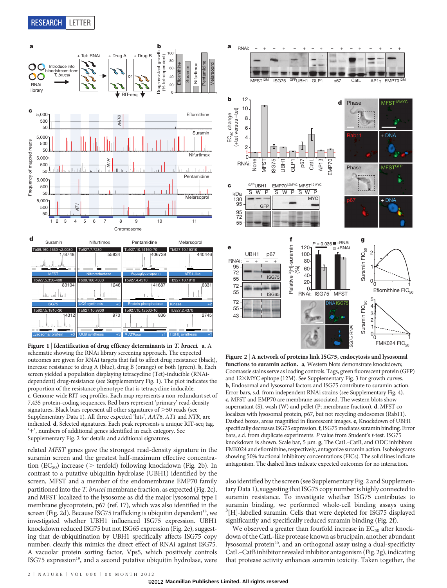

Figure 1 | Identification of drug efficacy determinants in T. brucei. a, A schematic showing the RNAi library screening approach. The expected outcomes are given for RNAi targets that fail to affect drug resistance (black), increase resistance to drug A (blue), drug B (orange) or both (green). b, Each screen yielded a population displaying tetracycline (Tet)-inducible (RNAidependent) drug-resistance (see Supplementary Fig. 1). The plot indicates the proportion of the resistance phenotype that is tetracycline inducible. c, Genome-wide RIT-seq profiles. Each map represents a non-redundant set of 7,435 protein-coding sequences. Red bars represent 'primary' read-density signatures. Black bars represent all other signatures of  $>50$  reads (see Supplementary Data 1). All three expected 'hits', AAT6, AT1 and NTR, are indicated. d, Selected signatures. Each peak represents a unique RIT-seq tag. '+', numbers of additional genes identified in each category. See Supplementary Fig. 2 for details and additional signatures.

related MFST genes gave the strongest read-density signature in the suramin screen and the greatest half-maximum effective concentration  $(EC_{50})$  increase ( $>$  tenfold) following knockdown (Fig. 2b). In contrast to a putative ubiquitin hydrolase (UBH1) identified by the screen, MFST and a member of the endomembrane EMP70 family partitioned into the T. brucei membrane fraction, as expected (Fig. 2c), and MFST localized to the lysosome as did the major lysosomal type I membrane glycoprotein, p67 (ref. 17), which was also identified in the screen (Fig. 2d). Because ISG75 trafficking is ubiquitin dependent<sup>18</sup>, we investigated whether UBH1 influenced ISG75 expression. UBH1 knockdown reduced ISG75 but not ISG65 expression (Fig. 2e), suggesting that de-ubiquitination by UBH1 specifically affects ISG75 copy number; clearly this mimics the direct effect of RNAi against ISG75. A vacuolar protein sorting factor, Vps5, which positively controls ISG75 expression<sup>19</sup>, and a second putative ubiquitin hydrolase, were



Figure 2 <sup>|</sup> A network of proteins link ISG75, endocytosis and lysosomal functions to suramin action. a, Western blots demonstrate knockdown; Coomassie stains serve as loading controls. Tags, green fluorescent protein (GFP) and 12×MYC epitope (12M). See Supplementary Fig. 3 for growth curves. b, Endosomal and lysosomal factors and ISG75 contribute to suramin action. Error bars, s.d. from independent RNAi strains (see Supplementary Fig. 4). c, MFST and EMP70 are membrane associated. The western blots show supernatant (S), wash (W) and pellet (P; membrane fraction). d, MFST colocalizes with lysosomal protein, p67, but not recycling endosomes (Rab11). Dashed boxes, areas magnified in fluorescent images. e, Knockdown of UBH1 specifically decreases ISG75 expression.f, ISG75 mediates suramin binding. Error bars, s.d. from duplicate experiments. P value from Student's t-test. ISG75 knockdown is shown. Scale bar,  $5 \mu m$ . g, The CatL–CatB, and ODC inhibitors FMK024 and eflornithine, respectively, antagonize suramin action. Isobolograms showing 50% fractional inhibitory concentrations (FICs). The solid lines indicate antagonism. The dashed lines indicate expected outcomes for no interaction.

also identified by the screen (see Supplementary Fig. 2 and Supplementary Data 1), suggesting that ISG75 copy number is highly connected to suramin resistance. To investigate whether ISG75 contributes to suramin binding, we performed whole-cell binding assays using <sup>3</sup>[H]-labelled suramin. Cells that were depleted for ISG75 displayed significantly and specifically reduced suramin binding (Fig. 2f).

We observed a greater than fourfold increase in  $EC_{50}$  after knockdown of the CatL-like protease known as brucipain, another abundant lysosomal protein<sup>20</sup>, and an orthogonal assay using a dual-specificity CatL–CatB inhibitor revealed inhibitor antagonism (Fig. 2g), indicating that protease activity enhances suramin toxicity. Taken together, the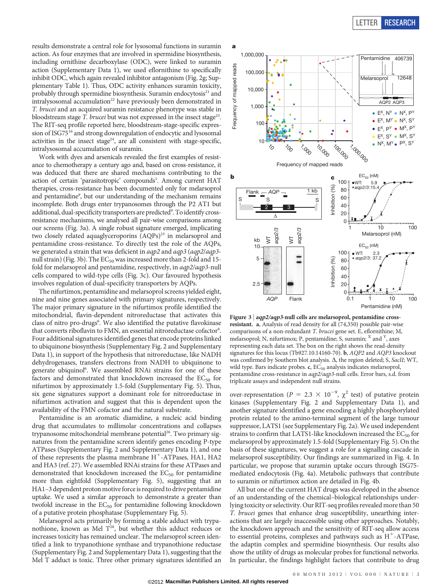results demonstrate a central role for lysosomal functions in suramin action. As four enzymes that are involved in spermidine biosynthesis, including ornithine decarboxylase (ODC), were linked to suramin action (Supplementary Data 1), we used eflornithine to specifically inhibit ODC, which again revealed inhibitor antagonism (Fig. 2g; Supplementary Table 1). Thus, ODC activity enhances suramin toxicity, probably through spermidine biosynthesis. Suramin endocytosis<sup>21</sup> and intralysosomal accumulation<sup>22</sup> have previously been demonstrated in T. brucei and an acquired suramin resistance phenotype was stable in bloodstream stage T. brucei but was not expressed in the insect stage<sup>23</sup>. The RIT-seq profile reported here, bloodstream-stage-specific expression of ISG75<sup>16</sup> and strong downregulation of endocytic and lysosomal activities in the insect stage<sup>24</sup>, are all consistent with stage-specific, intralysosomal accumulation of suramin.

Work with dyes and arsenicals revealed the first examples of resistance to chemotherapy a century ago and, based on cross-resistance, it was deduced that there are shared mechanisms contributing to the action of certain 'parasitotropic' compounds<sup>1</sup>. Among current HAT therapies, cross-resistance has been documented only for melarsoprol and pentamidine<sup>9</sup>, but our understanding of the mechanism remains incomplete. Both drugs enter trypanosomes through the P2 AT1 but additional, dual-specificity transporters are predicted<sup>9</sup>. To identify crossresistance mechanisms, we analysed all pair-wise comparisons among our screens (Fig. 3a). A single robust signature emerged, implicating two closely related aquaglyceroporins (AQPs)<sup>25</sup> in melarsoprol and pentamidine cross-resistance. To directly test the role of the AQPs, we generated a strain that was deficient in aqp2 and aqp3 (aqp2/aqp3 null strain) (Fig. 3b). The  $EC_{50}$  was increased more than 2-fold and 15fold for melarsoprol and pentamidine, respectively, in aqp2/aqp3-null cells compared to wild-type cells (Fig. 3c). Our favoured hypothesis involves regulation of dual-specificity transporters by AQPs.

The nifurtimox, pentamidine and melarsoprol screens yielded eight, nine and nine genes associated with primary signatures, respectively. The major primary signature in the nifurtimox profile identified the mitochondrial, flavin-dependent nitroreductase that activates this class of nitro pro-drugs<sup>6</sup>. We also identified the putative flavokinase that converts riboflavin to FMN, an essential nitroreductase cofactor<sup>6</sup>. Four additional signatures identified genes that encode proteins linked to ubiquinone biosynthesis (Supplementary Fig. 2 and Supplementary Data 1), in support of the hypothesis that nitroreductase, like NADH dehydrogenases, transfers electrons from NADH to ubiquinone to generate ubiquinol<sup>6</sup>. We assembled RNAi strains for one of these factors and demonstrated that knockdown increased the  $EC_{50}$  for nifurtimox by approximately 1.5-fold (Supplementary Fig. 5). Thus, six gene signatures support a dominant role for nitroreductase in nifurtimox activation and suggest that this is dependent upon the availability of the FMN cofactor and the natural substrate.

Pentamidine is an aromatic diamidine, a nucleic acid binding drug that accumulates to millimolar concentrations and collapses trypanosome mitochondrial membrane potential<sup>26</sup>. Two primary signatures from the pentamidine screen identify genes encoding P-type ATPases (Supplementary Fig. 2 and Supplementary Data 1), and one of these represents the plasma membrane  $H^+$ -ATPases, HA1, HA2 and HA3 (ref. 27). We assembled RNAi strains for these ATPases and demonstrated that knockdown increased the  $EC_{50}$  for pentamidine more than eightfold (Supplementary Fig. 5), suggesting that an HA1-3 dependent proton motive force is required to drive pentamidine uptake. We used a similar approach to demonstrate a greater than twofold increase in the  $EC_{50}$  for pentamidine following knockdown of a putative protein phosphatase (Supplementary Fig. 5).

Melarsoprol acts primarily by forming a stable adduct with trypanothione, known as Mel T<sup>28</sup>, but whether this adduct reduces or increases toxicity has remained unclear. The melarsoprol screen identified a link to trypanothione synthase and trypanothione reductase (Supplementary Fig. 2 and Supplementary Data 1), suggesting that the Mel T adduct is toxic. Three other primary signatures identified an



Figure  $3 | aqp2/aqp3$ -null cells are melarsoprol, pentamidine crossresistant. a, Analysis of read density for all (74,350) possible pair-wise comparisons of a non-redundant T. brucei gene set. E, eflornithine; M, melarsoprol; N, nifurtimox; P, pentamidine; S, suramin; <sup>X</sup> and <sup>Y</sup>, axes representing each data set. The box on the right shows the read-density signatures for this locus (Tb927.10.14160-70). b, AQP2 and AQP3 knockout was confirmed by Southern blot analysis.  $\Delta$ , the region deleted; S, SacII; WT, wild type. Bars indicate probes. c, EC<sub>50</sub> analysis indicates melarsoprol, pentamidine cross-resistance in aqp2/aqp3-null cells. Error bars, s.d. from triplicate assays and independent null strains.

over-representation ( $P = 2.3 \times 10^{-9}$ ,  $\chi^2$  test) of putative protein kinases (Supplementary Fig. 2 and Supplementary Data 1), and another signature identified a gene encoding a highly phosphorylated protein related to the amino-terminal segment of the large tumour suppressor, LATS1 (see Supplementary Fig. 2a). We used independent strains to confirm that LATS1-like knockdown increased the  $EC_{50}$  for melarsoprol by approximately 1.5-fold (Supplementary Fig. 5). On the basis of these signatures, we suggest a role for a signalling cascade in melarsoprol susceptibility. Our findings are summarized in Fig. 4. In particular, we propose that suramin uptake occurs through ISG75 mediated endocytosis (Fig. 4a). Metabolic pathways that contribute to suramin or nifurtimox action are detailed in Fig. 4b. **ID** the finding is the finding factors of the fig.  $\frac{8}{100}$   $\frac{1}{4}$   $\frac{1}{400}$   $\frac{1}{200}$   $\frac{1}{400}$   $\frac{1}{200}$   $\frac{1}{400}$   $\frac{1}{200}$   $\frac{1}{400}$   $\frac{1}{200}$   $\frac{1}{400}$   $\frac{1}{200}$   $\frac{1}{400}$   $\frac{1}{200}$   $\frac$ 

All but one of the current HAT drugs was developed in the absence of an understanding of the chemical–biological relationships underlying toxicity or selectivity. Our RIT-seq profiles revealed more than 50 T. brucei genes that enhance drug susceptibility, unearthing interactions that are largely inaccessible using other approaches. Notably, the knockdown approach and the sensitivity of RIT-seq allow access to essential proteins, complexes and pathways such as  $H^+$ -ATPase, the adaptin complex and spermidine biosynthesis. Our results also show the utility of drugs as molecular probes for functional networks.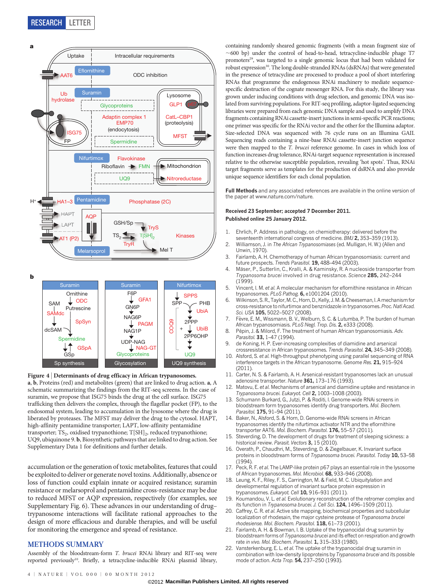



#### Figure 4 <sup>|</sup> Determinants of drug efficacy in African trypanosomes.

a, b, Proteins (red) and metabolites (green) that are linked to drug action. a, A schematic summarizing the findings from the RIT-seq screens. In the case of suramin, we propose that ISG75 binds the drug at the cell surface. ISG75 trafficking then delivers the complex, through the flagellar pocket (FP), to the endosomal system, leading to accumulation in the lysosome where the drug is liberated by proteases. The MFST may deliver the drug to the cytosol. HAPT, high-affinity pentamidine transporter; LAPT, low-affinity pentamidine transporter;  $TS_2$ , oxidised trypanothione;  $T[SH]_2$ , reduced trypanothione; UQ9, ubiquinone 9. b, Biosynthetic pathways that are linked to drug action. See Supplementary Data 1 for definitions and further details.

accumulation or the generation of toxic metabolites, features that could be exploited to deliver or generate novel toxins. Additionally, absence or loss of function could explain innate or acquired resistance; suramin resistance or melarsoprol and pentamidine cross-resistance may be due to reduced MFST or AQP expression, respectively (for examples, see Supplementary Fig. 6). These advances in our understanding of drug– trypanosome interactions will facilitate rational approaches to the design of more efficacious and durable therapies, and will be useful for monitoring the emergence and spread of resistance.

### METHODS SUMMARY

Assembly of the bloodstream-form T. brucei RNAi library and RIT-seq were reported previously<sup>10</sup>. Briefly, a tetracycline-inducible RNAi plasmid library,

containing randomly sheared genomic fragments (with a mean fragment size of  $\sim$  600 bp) under the control of head-to-head, tetracycline-inducible phage T7 promoters<sup>29</sup>, was targeted to a single genomic locus that had been validated for robust expression<sup>30</sup>. The long double-stranded RNAs (dsRNAs) that were generated in the presence of tetracycline are processed to produce a pool of short interfering RNAs that programme the endogenous RNAi machinery to mediate sequencespecific destruction of the cognate messenger RNA. For this study, the library was grown under inducing conditions with drug selection, and genomic DNA was isolated from surviving populations. For RIT-seq profiling, adaptor-ligated sequencing libraries were prepared from each genomic DNA sample and used to amplify DNA fragments containing RNAi cassette-insert junctions in semi-specific PCR reactions; one primer was specific for the RNAi vector and the other for the Illumina adaptor. Size-selected DNA was sequenced with 76 cycle runs on an Illumina GAII. Sequencing reads containing a nine-base RNAi cassette-insert junction sequence were then mapped to the T. brucei reference genome. In cases in which loss of function increases drug tolerance, RNAi-target sequence representation is increased relative to the otherwise susceptible population, revealing 'hot spots'. Thus, RNAi target fragments serve as templates for the production of dsRNA and also provide unique sequence identifiers for each clonal population.

Full Methods and any associated references are available in the online version of the paper at<www.nature.com/nature>.

#### Received 23 September; accepted 7 December 2011. Published online 25 January 2012.

- 1. Ehrlich, P. Address in pathology, on chemiotherapy: delivered before the
- seventeenth international congress of medicine. BMJ 2, 353–359 (1913). 2. Williamson, J. in The African Trypanosomiases (ed. Mulligan, H. W.) (Allen and Unwin, 1970).
- 3. Fairlamb, A. H. Chemotherapy of human African trypanosomiasis: current and future prospects. Trends Parasitol. 19, 488-494 (2003).
- 4. Mäser, P., Sutterlin, C., Kralli, A. & Kaminsky, R. A nucleoside transporter from Trypanosoma brucei involved in drug resistance. Science 285, 242–244 (1999).
- 5. Vincent, I. M. et al. A molecular mechanism for eflornithine resistance in African trypanosomes. PLoS Pathog. 6, e1001204 (2010).
- 6. Wilkinson, S. R., Taylor, M. C., Horn, D., Kelly, J. M. & Cheeseman, I. A mechanism for cross-resistance to nifurtimox and benznidazole in trypanosomes. Proc. Natl Acad. Sci. USA 105, 5022-5027 (2008).
- 7. Fèvre, E. M., Wissmann, B. V., Welburn, S. C. & Lutumba, P. The burden of human African trypanosomiasis. PLoS Negl. Trop. Dis. 2, e333 (2008).
- 8. Pépin, J. & Milord, F. The treatment of human African trypanosomiasis. Adv. Parasitol. 33, 1–47 (1994).
- 9. de Koning, H. P. Ever-increasing complexities of diamidine and arsenical crossresistance in African trypanosomes. Trends Parasitol. 24, 345–349 (2008).
- 10. Alsford, S. et al. High-throughput phenotyping using parallel sequencing of RNA interference targets in the African trypanosome. Genome Res. 21, 915–924 (2011).
- 11. Carter, N. S. & Fairlamb, A. H. Arsenical-resistant trypanosomes lack an unusual adenosine transporter. Nature 361, 173-176 (1993).
- 12. Matovu, E. et al. Mechanisms of arsenical and diamidine uptake and resistance in Trypanosoma brucei. Eukaryot. Cell 2, 1003-1008 (2003).
- 13. Schumann Burkard, G., Jutzi, P. & Roditi, I. Genome-wide RNAi screens in bloodstream form trypanosomes identify drug transporters. Mol. Biochem. Parasitol. 175, 91-94 (2011).
- 14. Baker, N., Alsford, S. & Horn, D. Genome-wide RNAi screens in African trypanosomes identify the nifurtimox activator NTR and the eflornithine transporter AAT6. Mol. Biochem. Parasitol. 176, 55-57 (2011).
- 15. Steverding, D. The development of drugs for treatment of sleeping sickness: a historical review. Parasit. Vectors 3, 15 (2010).
- 16. Overath, P., Chaudhri, M., Steverding, D. & Ziegelbauer, K. Invariant surface proteins in bloodstream forms of Trypanosoma brucei. Parasitol. Today 10, 53–58  $(1994)$
- 17. Peck, R. F. et al. The LAMP-like protein p67 plays an essential role in the lysosome of African trypanosomes. Mol. Microbiol. 68, 933-946 (2008)
- 18. Leung, K. F., Riley, F. S., Carrington, M. & Field, M. C. Ubiquitylation and developmental regulation of invariant surface protein expression in trypanosomes. Eukaryot. Cell 10, 916-931 (2011).
- 19. Koumandou, V. L. et al. Evolutionary reconstruction of the retromer complex and its function in Trypanosoma brucei. J. Cell Sci. 124, 1496-1509 (2011).
- 20. Caffrey, C. R. et al. Active site mapping, biochemical properties and subcellular localization of rhodesain, the major cysteine protease of Trypanosoma brucei rhodesiense. Mol. Biochem. Parasitol. 118, 61-73 (2001).
- 21. Fairlamb, A. H. & Bowman, I. B. Uptake of the trypanocidal drug suramin by bloodstream forms of Trypanosoma brucei and its effect on respiration and growth rate in vivo. Mol. Biochem. Parasitol. 1, 315-333 (1980).
- 22. Vansterkenburg, E. L. et al. The uptake of the trypanocidal drug suramin in combination with low-density lipoproteins by Trypanosoma brucei and its possible mode of action. Acta Trop. **54**, 237-250 (1993).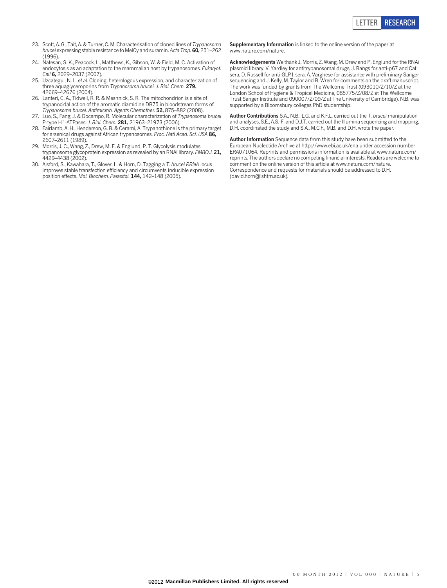- 23. Scott, A. G., Tait, A. & Turner, C. M. Characterisation of cloned lines of Trypanosoma brucei expressing stable resistance to MelCy and suramin. Acta Trop. 60, 251-262 (1996).
- 24. Natesan, S. K., Peacock, L., Matthews, K., Gibson, W. & Field, M. C. Activation of endocytosis as an adaptation to the mammalian host by trypanosomes. Eukaryot. Cell 6, 2029–2037 (2007).
- 25. Uzcategui, N. L. et al. Cloning, heterologous expression, and characterization of three aquaglyceroporins from Trypanosoma brucei. J. Biol. Chem. 279, 42669–42676 (2004).
- 26. Lanteri, C. A., Tidwell, R. R. & Meshnick, S. R. The mitochondrion is a site of trypanocidal action of the aromatic diamidine DB75 in bloodstream forms of Trypanosoma brucei. Antimicrob. Agents Chemother. 52, 875–882 (2008).
- 27. Luo, S., Fang, J. & Docampo, R. Molecular characterization of Trypanosoma brucei P-type H<sup>+</sup>-ATPases. J. Biol. Chem. 281, 21963-21973 (2006).
- 28. Fairlamb, A. H., Henderson, G. B. & Cerami, A. Trypanothione is the primary target for arsenical drugs against African trypanosomes. Proc. Natl Acad. Sci. USA 86, 2607–2611 (1989).
- 29. Morris, J. C., Wang, Z., Drew, M. E. & Englund, P. T. Glycolysis modulates trypanosome glycoprotein expression as revealed by an RNAi library. EMBO J. 21, 4429–4438 (2002).
- 30. Alsford, S., Kawahara, T., Glover, L. & Horn, D. Tagging a T. brucei RRNA locus improves stable transfection efficiency and circumvents inducible expression position effects. Mol. Biochem. Parasitol. 144, 142–148 (2005).

Supplementary Information is linked to the online version of the paper at <www.nature.com/nature>.

Acknowledgements We thank J. Morris, Z. Wang, M. Drew and P. Englund for the RNAi plasmid library, V. Yardley for antitrypanosomal drugs, J. Bangs for anti-p67 and CatL sera, D. Russell for anti-GLP1 sera, A. Varghese for assistance with preliminary Sanger sequencing and J. Kelly, M. Taylor and B. Wren for comments on the draft manuscript. The work was funded by grants from The Wellcome Trust (093010/Z/10/Z at the London School of Hygiene & Tropical Medicine, 085775/Z/08/Z at The Wellcome Trust Sanger Institute and 090007/Z/09/Z at The University of Cambridge). N.B. was supported by a Bloomsbury colleges PhD studentship.

Author Contributions S.A., N.B., L.G. and K.F.L. carried out the T. brucei manipulation and analyses, S.E., A.S.-F. and D.J.T. carried out the Illumina sequencing and mapping, D.H. coordinated the study and S.A., M.C.F., M.B. and D.H. wrote the paper.

Author Information Sequence data from this study have been submitted to the European Nucleotide Archive at<http://www.ebi.ac.uk/ena> under accession number ERA071064. Reprints and permissions information is available at [www.nature.com/](www.nature.com/reprints) [reprints](www.nature.com/reprints). The authors declare no competing financial interests. Readers are welcome to comment on the online version of this article at [www.nature.com/nature.](www.nature.com/nature) Correspondence and requests for materials should be addressed to D.H. [\(david.horn@lshtm.ac.uk\).](mailto:david.horn@lshtm.ac.uk)